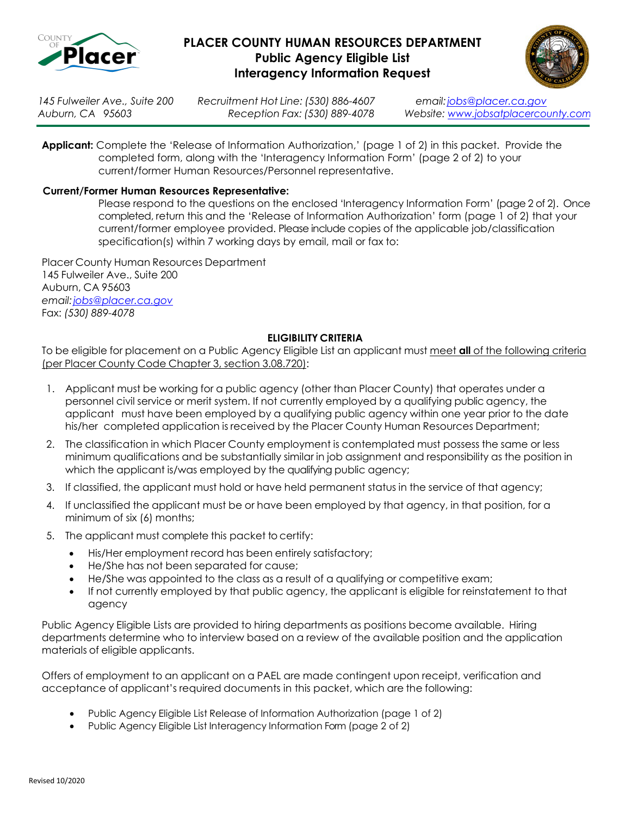

## **PLACER COUNTY HUMAN RESOURCES DEPARTMENT Public Agency Eligible List Interagency Information Request**



*145 Fulweiler Ave., Suite 200 Recruitment Hot Line: (530) 886-4607 email[:jobs@placer.ca.gov](mailto:jobs@placer.ca.gov)*

*Auburn, CA 95603 Reception Fax: (530) 889-4078 Website: [www.jobsatplacercounty.com](http://www.jobsatplacercounty.com/)*

**Applicant:** Complete the 'Release of Information Authorization,' (page 1 of 2) in this packet. Provide the completed form, along with the 'Interagency Information Form' (page 2 of 2) to your current/former Human Resources/Personnel representative.

#### **Current/Former Human Resources Representative:**

Please respond to the questions on the enclosed 'Interagency Information Form' (page 2 of 2). Once completed, return this and the 'Release of Information Authorization' form (page 1 of 2) that your current/former employee provided. Please include copies of the applicable job/classification specification(s) within 7 working days by email, mail or fax to:

Placer County Human Resources Department 145 Fulweiler Ave., Suite 200 Auburn, CA 95603 *email[:jobs@placer.ca.gov](mailto:jobs@placer.ca.gov)* Fax: *(530) 889-4078*

#### **ELIGIBILITY CRITERIA**

To be eligible for placement on a Public Agency Eligible List an applicant must meet **all** of the following criteria (per Placer County Code Chapter 3, section 3.08.720):

- 1. Applicant must be working for a public agency (other than Placer County) that operates under a personnel civil service or merit system. If not currently employed by a qualifying public agency, the applicant must have been employed by a qualifying public agency within one year prior to the date his/her completed application is received by the Placer County Human Resources Department;
- 2. The classification in which Placer County employment is contemplated must possess the same or less minimum qualifications and be substantially similar in job assignment and responsibility as the position in which the applicant is/was employed by the qualifying public agency;
- 3. If classified, the applicant must hold or have held permanent status in the service of that agency;
- 4. If unclassified the applicant must be or have been employed by that agency, in that position, for a minimum of six (6) months;
- 5. The applicant must complete this packet to certify:
	- His/Her employment record has been entirely satisfactory;
	- He/She has not been separated for cause;
	- He/She was appointed to the class as a result of a qualifying or competitive exam;
	- If not currently employed by that public agency, the applicant is eligible for reinstatement to that agency

Public Agency Eligible Lists are provided to hiring departments as positions become available. Hiring departments determine who to interview based on a review of the available position and the application materials of eligible applicants.

Offers of employment to an applicant on a PAEL are made contingent upon receipt, verification and acceptance of applicant's required documents in this packet, which are the following:

- Public Agency Eligible List Release of Information Authorization (page 1 of 2)
- Public Agency Eligible List Interagency Information Form (page 2 of 2)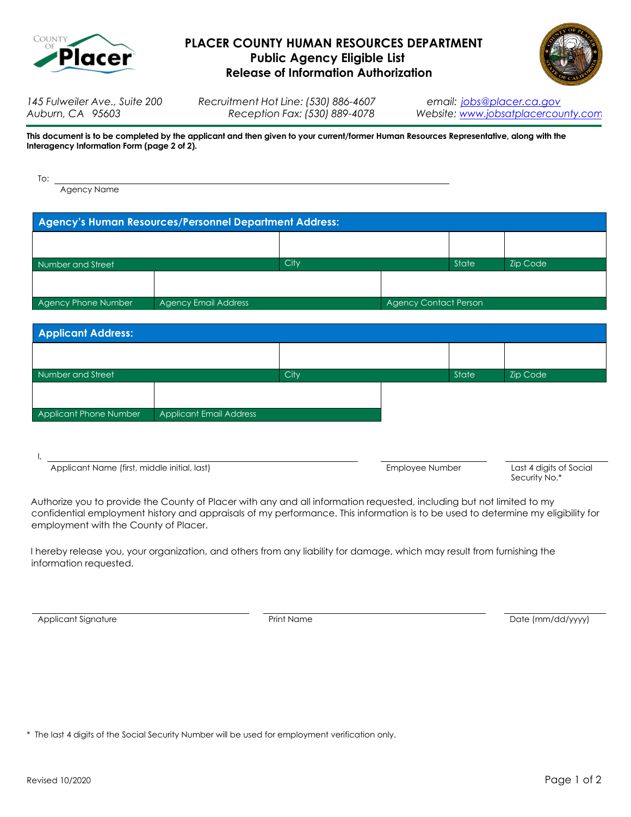

# **PLACER COUNTY HUMAN RESOURCES DEPARTMENT Public Agency Eligible List Release of Information Authorization**



*145 Fulweiler Ave., Suite 200 Recruitment Hot Line: (530) 886-4607 email: [jobs@placer.ca.gov](mailto:jobs@placer.ca.gov)*

*Auburn, CA 95603 Reception Fax: (530) 889-4078 Website: [www.jobsatplacercounty.com](http://www.jobsatplacercounty.com/)*

**This document is to be completed by the applicant and then given to your current/former Human Resources Representative, along with the Interagency Information Form (page 2 of 2).** 

| To: |                                                          |
|-----|----------------------------------------------------------|
|     | Agency Name                                              |
|     |                                                          |
|     | Agency's Human Resources/Personnel Department Address: 1 |

| Number and Street                           |  | City |                              | State | <b>Zip Code</b> |
|---------------------------------------------|--|------|------------------------------|-------|-----------------|
|                                             |  |      |                              |       |                 |
| Agency Phone Number<br>Agency Email Address |  |      | <b>Agency Contact Person</b> |       |                 |
|                                             |  |      |                              |       |                 |

| <b>Applicant Address:</b> |                                |      |  |       |                 |
|---------------------------|--------------------------------|------|--|-------|-----------------|
|                           |                                |      |  |       |                 |
| Number and Street         |                                | City |  | State | <b>Zip Code</b> |
|                           |                                |      |  |       |                 |
| Applicant Phone Number    | <b>Applicant Email Address</b> |      |  |       |                 |

I,

Applicant Name (first, middle initial, last) **Employee Number** Last 4 digits of Social

Security No.\*

Authorize you to provide the County of Placer with any and all information requested, including but not limited to my confidential employment history and appraisals of my performance. This information is to be used to determine my eligibility for employment with the County of Placer.

I hereby release you, your organization, and others from any liability for damage, which may result from furnishing the information requested.

Applicant Signature **Accord 2018** 2014 The Print Name Print Name Date (mm/dd/yyyy)

\* The last 4 digits of the Social Security Number will be used for employment verification only.